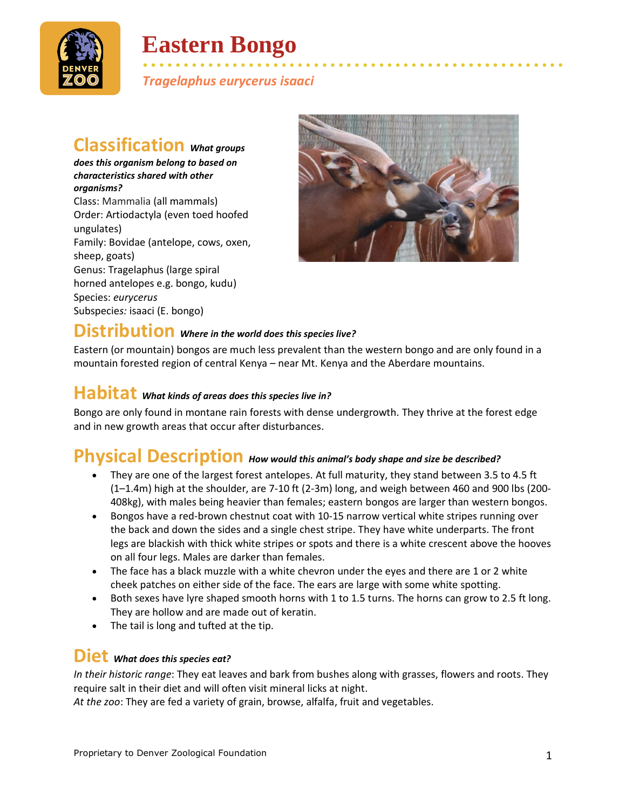

# **Eastern Bongo**

• • • • • • • • • • • • • • • • • • • • • • • • • • • • • • • • • • • • • • • • • • • • • • • • • • • • *Tragelaphus eurycerus isaaci*

### **Classification** *What groups*

*does this organism belong to based on characteristics shared with other organisms?* Class: Mammalia (all mammals) Order: Artiodactyla (even toed hoofed ungulates) Family: Bovidae (antelope, cows, oxen, sheep, goats) Genus: Tragelaphus (large spiral horned antelopes e.g. bongo, kudu) Species: *eurycerus* Subspecie*s:* isaaci (E. bongo)



# **Distribution** *Where in the world does this species live?*

Eastern (or mountain) bongos are much less prevalent than the western bongo and are only found in a mountain forested region of central Kenya – near Mt. Kenya and the Aberdare mountains.

#### **Habitat** *What kinds of areas does this species live in?*

Bongo are only found in montane rain forests with dense undergrowth. They thrive at the forest edge and in new growth areas that occur after disturbances.

#### **Physical Description** *How would this animal's body shape and size be described?*

- They are one of the largest forest antelopes. At full maturity, they stand between 3.5 to 4.5 ft (1–1.4m) high at the shoulder, are 7-10 ft (2-3m) long, and weigh between 460 and 900 lbs (200- 408kg), with males being heavier than females; eastern bongos are larger than western bongos.
- Bongos have a red-brown chestnut coat with 10-15 narrow vertical white stripes running over the back and down the sides and a single chest stripe. They have white underparts. The front legs are blackish with thick white stripes or spots and there is a white crescent above the hooves on all four legs. Males are darker than females.
- The face has a black muzzle with a white chevron under the eyes and there are 1 or 2 white cheek patches on either side of the face. The ears are large with some white spotting.
- Both sexes have lyre shaped smooth horns with 1 to 1.5 turns. The horns can grow to 2.5 ft long. They are hollow and are made out of keratin.
- The tail is long and tufted at the tip.

#### **Diet** *What does this species eat?*

*In their historic range*: They eat leaves and bark from bushes along with grasses, flowers and roots. They require salt in their diet and will often visit mineral licks at night.

*At the zoo*: They are fed a variety of grain, browse, alfalfa, fruit and vegetables.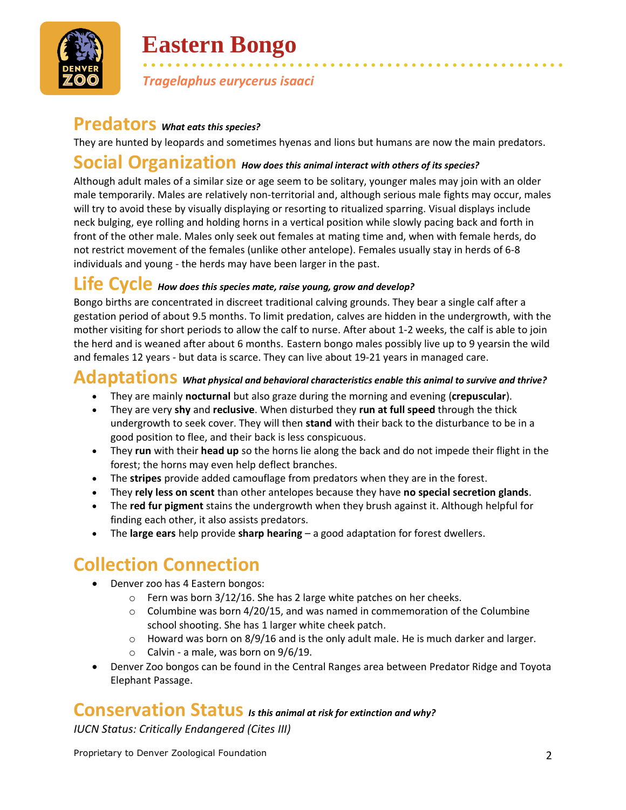

# **Eastern Bongo**

• • • • • • • • • • • • • • • • • • • • • • • • • • • • • • • • • • • • • • • • • • • • • • • • • • • • *Tragelaphus eurycerus isaaci*

## **Predators** *What eats this species?*

They are hunted by leopards and sometimes hyenas and lions but humans are now the main predators.

## **Social Organization** *How does this animal interact with others of its species?*

Although adult males of a similar size or age seem to be solitary, younger males may join with an older male temporarily. Males are relatively non-territorial and, although serious male fights may occur, males will try to avoid these by visually displaying or resorting to ritualized sparring. Visual displays include neck bulging, eye rolling and holding horns in a vertical position while slowly pacing back and forth in front of the other male. Males only seek out females at mating time and, when with female herds, do not restrict movement of the females (unlike other antelope). Females usually stay in herds of 6-8 individuals and young - the herds may have been larger in the past.

#### **Life Cycle** *How does this species mate, raise young, grow and develop?*

Bongo births are concentrated in discreet traditional calving grounds. They bear a single calf after a gestation period of about 9.5 months. To limit predation, calves are hidden in the undergrowth, with the mother visiting for short periods to allow the calf to nurse. After about 1-2 weeks, the calf is able to join the herd and is weaned after about 6 months. Eastern bongo males possibly live up to 9 yearsin the wild and females 12 years - but data is scarce. They can live about 19-21 years in managed care.

#### **Adaptations** *What physical and behavioral characteristics enable this animal to survive and thrive?*

- They are mainly **nocturnal** but also graze during the morning and evening (**crepuscular**).
- They are very **shy** and **reclusive**. When disturbed they **run at full speed** through the thick undergrowth to seek cover. They will then **stand** with their back to the disturbance to be in a good position to flee, and their back is less conspicuous.
- They **run** with their **head up** so the horns lie along the back and do not impede their flight in the forest; the horns may even help deflect branches.
- The **stripes** provide added camouflage from predators when they are in the forest.
- They **rely less on scent** than other antelopes because they have **no special secretion glands**.
- The **red fur pigment** stains the undergrowth when they brush against it. Although helpful for finding each other, it also assists predators.
- The **large ears** help provide **sharp hearing** a good adaptation for forest dwellers.

# **Collection Connection**

- Denver zoo has 4 Eastern bongos:
	- o Fern was born 3/12/16. She has 2 large white patches on her cheeks.
	- $\circ$  Columbine was born 4/20/15, and was named in commemoration of the Columbine school shooting. She has 1 larger white cheek patch.
	- $\circ$  Howard was born on 8/9/16 and is the only adult male. He is much darker and larger.
	- $\circ$  Calvin a male, was born on 9/6/19.
- Denver Zoo bongos can be found in the Central Ranges area between Predator Ridge and Toyota Elephant Passage.

### **Conservation Status** *Is this animal at risk for extinction and why?*

*IUCN Status: Critically Endangered (Cites III)*

Proprietary to Denver Zoological Foundation 2008 2009 2012 2014